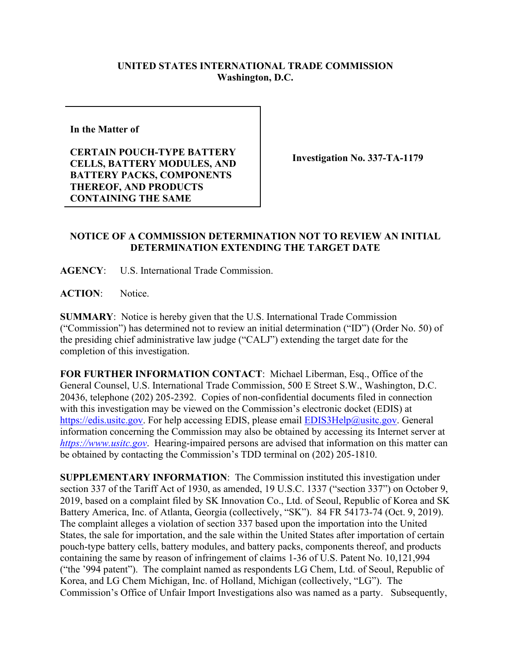## **UNITED STATES INTERNATIONAL TRADE COMMISSION Washington, D.C.**

**In the Matter of** 

**CERTAIN POUCH-TYPE BATTERY CELLS, BATTERY MODULES, AND BATTERY PACKS, COMPONENTS THEREOF, AND PRODUCTS CONTAINING THE SAME**

**Investigation No. 337-TA-1179**

## **NOTICE OF A COMMISSION DETERMINATION NOT TO REVIEW AN INITIAL DETERMINATION EXTENDING THE TARGET DATE**

**AGENCY**: U.S. International Trade Commission.

**ACTION**: Notice.

**SUMMARY**: Notice is hereby given that the U.S. International Trade Commission ("Commission") has determined not to review an initial determination ("ID") (Order No. 50) of the presiding chief administrative law judge ("CALJ") extending the target date for the completion of this investigation.

**FOR FURTHER INFORMATION CONTACT**: Michael Liberman, Esq., Office of the General Counsel, U.S. International Trade Commission, 500 E Street S.W., Washington, D.C. 20436, telephone (202) 205-2392. Copies of non-confidential documents filed in connection with this investigation may be viewed on the Commission's electronic docket (EDIS) at [https://edis.usitc.gov.](https://edis.usitc.gov/) For help accessing EDIS, please email [EDIS3Help@usitc.gov.](mailto:EDIS3Help@usitc.gov) General information concerning the Commission may also be obtained by accessing its Internet server at *[https://www.usitc.gov](https://www.usitc.gov/)*. Hearing-impaired persons are advised that information on this matter can be obtained by contacting the Commission's TDD terminal on (202) 205-1810.

**SUPPLEMENTARY INFORMATION**: The Commission instituted this investigation under section 337 of the Tariff Act of 1930, as amended, 19 U.S.C. 1337 ("section 337") on October 9, 2019, based on a complaint filed by SK Innovation Co., Ltd. of Seoul, Republic of Korea and SK Battery America, Inc. of Atlanta, Georgia (collectively, "SK"). 84 FR 54173-74 (Oct. 9, 2019). The complaint alleges a violation of section 337 based upon the importation into the United States, the sale for importation, and the sale within the United States after importation of certain pouch-type battery cells, battery modules, and battery packs, components thereof, and products containing the same by reason of infringement of claims 1-36 of U.S. Patent No. 10,121,994 ("the '994 patent"). The complaint named as respondents LG Chem, Ltd. of Seoul, Republic of Korea, and LG Chem Michigan, Inc. of Holland, Michigan (collectively, "LG"). The Commission's Office of Unfair Import Investigations also was named as a party. Subsequently,